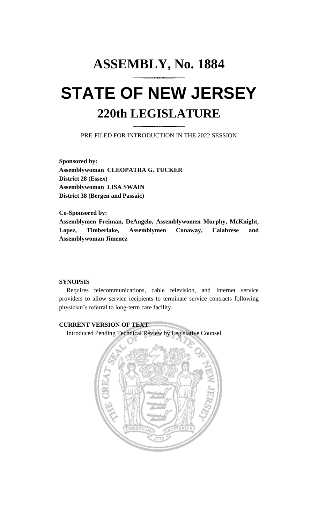# **ASSEMBLY, No. 1884 STATE OF NEW JERSEY 220th LEGISLATURE**

PRE-FILED FOR INTRODUCTION IN THE 2022 SESSION

**Sponsored by: Assemblywoman CLEOPATRA G. TUCKER District 28 (Essex) Assemblywoman LISA SWAIN District 38 (Bergen and Passaic)**

**Co-Sponsored by: Assemblymen Freiman, DeAngelo, Assemblywomen Murphy, McKnight, Lopez, Timberlake, Assemblymen Conaway, Calabrese and Assemblywoman Jimenez**

## **SYNOPSIS**

Requires telecommunications, cable television, and Internet service providers to allow service recipients to terminate service contracts following physician's referral to long-term care facility.

## **CURRENT VERSION OF TEXT**

Introduced Pending Technical Review by Legislative Counsel.

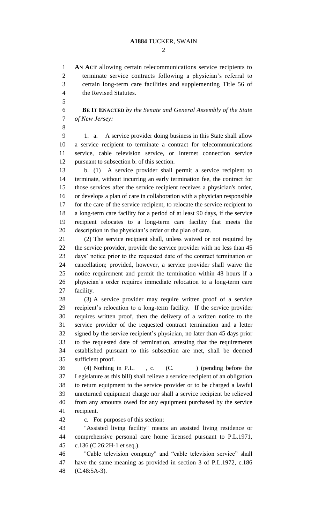$\mathcal{D}_{\mathcal{L}}$ 

 **AN ACT** allowing certain telecommunications service recipients to terminate service contracts following a physician's referral to certain long-term care facilities and supplementing Title 56 of the Revised Statutes.

 **BE IT ENACTED** *by the Senate and General Assembly of the State of New Jersey:*

 1. a. A service provider doing business in this State shall allow a service recipient to terminate a contract for telecommunications service, cable television service, or Internet connection service pursuant to subsection b. of this section.

 b. (1) A service provider shall permit a service recipient to terminate, without incurring an early termination fee, the contract for those services after the service recipient receives a physician's order, or develops a plan of care in collaboration with a physician responsible for the care of the service recipient, to relocate the service recipient to a long-term care facility for a period of at least 90 days, if the service recipient relocates to a long-term care facility that meets the description in the physician's order or the plan of care.

 (2) The service recipient shall, unless waived or not required by the service provider, provide the service provider with no less than 45 days' notice prior to the requested date of the contract termination or cancellation; provided, however, a service provider shall waive the notice requirement and permit the termination within 48 hours if a physician's order requires immediate relocation to a long-term care facility.

 (3) A service provider may require written proof of a service recipient's relocation to a long-term facility. If the service provider requires written proof, then the delivery of a written notice to the service provider of the requested contract termination and a letter signed by the service recipient's physician, no later than 45 days prior to the requested date of termination, attesting that the requirements established pursuant to this subsection are met, shall be deemed sufficient proof.

36 (4) Nothing in P.L., c. (C.) (pending before the Legislature as this bill) shall relieve a service recipient of an obligation to return equipment to the service provider or to be charged a lawful unreturned equipment charge nor shall a service recipient be relieved from any amounts owed for any equipment purchased by the service recipient.

c. For purposes of this section:

 "Assisted living facility" means an assisted living residence or comprehensive personal care home licensed pursuant to P.L.1971, c.136 (C.26:2H-1 et seq.).

 "Cable television company" and "cable television service" shall have the same meaning as provided in section 3 of P.L.1972, c.186 (C.48:5A-3).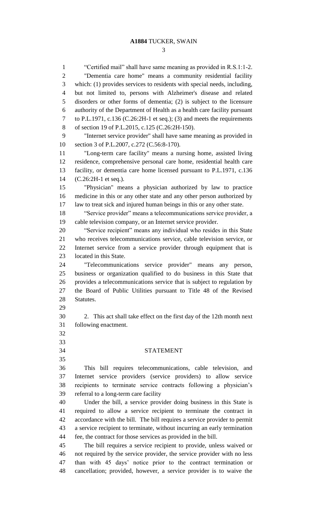#### **A1884** TUCKER, SWAIN

 "Certified mail" shall have same meaning as provided in R.S.1:1-2. "Dementia care home" means a community residential facility which: (1) provides services to residents with special needs, including, but not limited to, persons with Alzheimer's disease and related disorders or other forms of dementia; (2) is subject to the licensure authority of the Department of Health as a health care facility pursuant to P.L.1971, c.136 (C.26:2H-1 et seq.); (3) and meets the requirements of section 19 of P.L.2015, c.125 (C.26:2H-150). "Internet service provider" shall have same meaning as provided in section 3 of P.L.2007, c.272 (C.56:8-170). "Long-term care facility" means a nursing home, assisted living residence, comprehensive personal care home, residential health care facility, or dementia care home licensed pursuant to P.L.1971, c.136 (C.26:2H-1 et seq.). "Physician" means a physician authorized by law to practice medicine in this or any other state and any other person authorized by law to treat sick and injured human beings in this or any other state. "Service provider" means a telecommunications service provider, a cable television company, or an Internet service provider. "Service recipient" means any individual who resides in this State who receives telecommunications service, cable television service, or Internet service from a service provider through equipment that is located in this State. "Telecommunications service provider" means any person, business or organization qualified to do business in this State that provides a telecommunications service that is subject to regulation by the Board of Public Utilities pursuant to Title 48 of the Revised Statutes. 2. This act shall take effect on the first day of the 12th month next following enactment. STATEMENT This bill requires telecommunications, cable television, and Internet service providers (service providers) to allow service recipients to terminate service contracts following a physician's referral to a long-term care facility Under the bill, a service provider doing business in this State is required to allow a service recipient to terminate the contract in accordance with the bill. The bill requires a service provider to permit a service recipient to terminate, without incurring an early termination fee, the contract for those services as provided in the bill. The bill requires a service recipient to provide, unless waived or not required by the service provider, the service provider with no less than with 45 days' notice prior to the contract termination or cancellation; provided, however, a service provider is to waive the